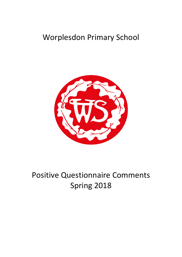## Worplesdon Primary School



## Positive Questionnaire Comments Spring 2018